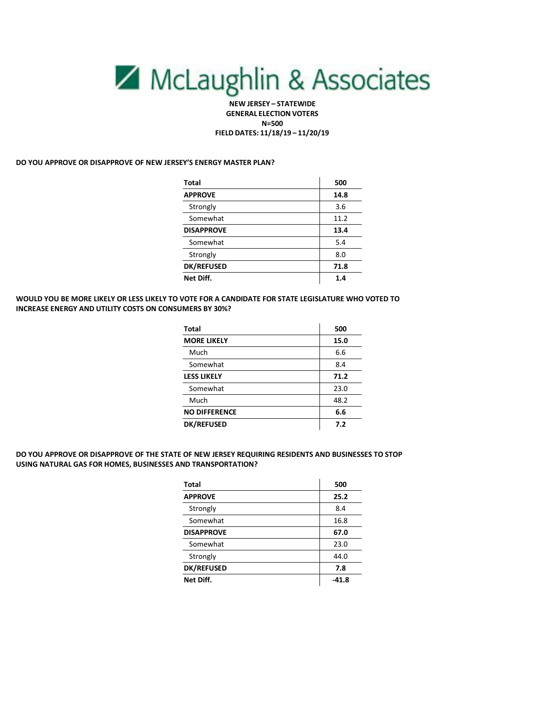# McLaughlin & Associates

**NEW JERSEY – STATEWIDE GENERAL ELECTION VOTERS N=500 FIELD DATES: 11/18/19 – 11/20/19**

#### **DO YOU APPROVE OR DISAPPROVE OF NEW JERSEY'S ENERGY MASTER PLAN?**

| Total             | 500  |
|-------------------|------|
| <b>APPROVE</b>    | 14.8 |
| Strongly          | 3.6  |
| Somewhat          | 11.2 |
| <b>DISAPPROVE</b> | 13.4 |
| Somewhat          | 5.4  |
| Strongly          | 8.0  |
| <b>DK/REFUSED</b> | 71.8 |
| Net Diff.         | 1.4  |

#### **WOULD YOU BE MORE LIKELY OR LESS LIKELY TO VOTE FOR A CANDIDATE FOR STATE LEGISLATURE WHO VOTED TO INCREASE ENERGY AND UTILITY COSTS ON CONSUMERS BY 30%?**

| Total                | 500  |
|----------------------|------|
| <b>MORE LIKELY</b>   | 15.0 |
| Much                 | 6.6  |
| Somewhat             | 8.4  |
| <b>LESS LIKELY</b>   | 71.2 |
| Somewhat             | 23.0 |
| Much                 | 48.2 |
| <b>NO DIFFERENCE</b> | 6.6  |
| <b>DK/REFUSED</b>    | 7.2  |

### **DO YOU APPROVE OR DISAPPROVE OF THE STATE OF NEW JERSEY REQUIRING RESIDENTS AND BUSINESSES TO STOP USING NATURAL GAS FOR HOMES, BUSINESSES AND TRANSPORTATION?**

| <b>Total</b>      | 500     |
|-------------------|---------|
| <b>APPROVE</b>    | 25.2    |
| Strongly          | 8.4     |
| Somewhat          | 16.8    |
| <b>DISAPPROVE</b> | 67.0    |
| Somewhat          | 23.0    |
| Strongly          | 44.0    |
| <b>DK/REFUSED</b> | 7.8     |
| Net Diff.         | $-41.8$ |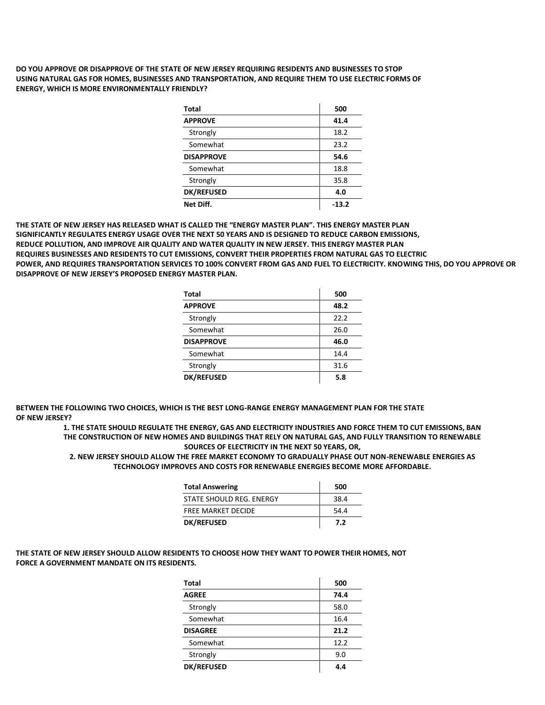**DO YOU APPROVE OR DISAPPROVE OF THE STATE OF NEW JERSEY REQUIRING RESIDENTS AND BUSINESSES TO STOP USING NATURAL GAS FOR HOMES, BUSINESSES AND TRANSPORTATION, AND REQUIRE THEM TO USE ELECTRIC FORMS OF ENERGY, WHICH IS MORE ENVIRONMENTALLY FRIENDLY?** 

| Total             | 500     |
|-------------------|---------|
| <b>APPROVE</b>    | 41.4    |
| Strongly          | 18.2    |
| Somewhat          | 23.2    |
| <b>DISAPPROVE</b> | 54.6    |
| Somewhat          | 18.8    |
| Strongly          | 35.8    |
| <b>DK/REFUSED</b> | 4.0     |
| Net Diff.         | $-13.2$ |

**THE STATE OF NEW JERSEY HAS RELEASED WHAT IS CALLED THE "ENERGY MASTER PLAN". THIS ENERGY MASTER PLAN SIGNIFICANTLY REGULATES ENERGY USAGE OVER THE NEXT 50 YEARS AND IS DESIGNED TO REDUCE CARBON EMISSIONS, REDUCE POLLUTION, AND IMPROVE AIR QUALITY AND WATER QUALITY IN NEW JERSEY. THIS ENERGY MASTER PLAN REQUIRES BUSINESSES AND RESIDENTS TO CUT EMISSIONS, CONVERT THEIR PROPERTIES FROM NATURAL GAS TO ELECTRIC POWER, AND REQUIRES TRANSPORTATION SERVICES TO 100% CONVERT FROM GAS AND FUEL TO ELECTRICITY. KNOWING THIS, DO YOU APPROVE OR DISAPPROVE OF NEW JERSEY'S PROPOSED ENERGY MASTER PLAN.**

| Total             | 500  |
|-------------------|------|
| <b>APPROVE</b>    | 48.2 |
| Strongly          | 22.2 |
| Somewhat          | 26.0 |
| <b>DISAPPROVE</b> | 46.0 |
| Somewhat          | 14.4 |
| Strongly          | 31.6 |
| <b>DK/REFUSED</b> | 5.8  |

 $\mathbf{r}$ 

**BETWEEN THE FOLLOWING TWO CHOICES, WHICH IS THE BEST LONG-RANGE ENERGY MANAGEMENT PLAN FOR THE STATE OF NEW JERSEY?**

> **1. THE STATE SHOULD REGULATE THE ENERGY, GAS AND ELECTRICITY INDUSTRIES AND FORCE THEM TO CUT EMISSIONS, BAN THE CONSTRUCTION OF NEW HOMES AND BUILDINGS THAT RELY ON NATURAL GAS, AND FULLY TRANSITION TO RENEWABLE SOURCES OF ELECTRICITY IN THE NEXT 50 YEARS, OR,**

**2. NEW JERSEY SHOULD ALLOW THE FREE MARKET ECONOMY TO GRADUALLY PHASE OUT NON-RENEWABLE ENERGIES AS TECHNOLOGY IMPROVES AND COSTS FOR RENEWABLE ENERGIES BECOME MORE AFFORDABLE.**

| <b>Total Answering</b>    | 500  |
|---------------------------|------|
| STATE SHOULD REG. ENERGY  | 38.4 |
| <b>FREE MARKET DECIDE</b> | 54.4 |
| <b>DK/REFUSED</b>         | 7.2  |

**THE STATE OF NEW JERSEY SHOULD ALLOW RESIDENTS TO CHOOSE HOW THEY WANT TO POWER THEIR HOMES, NOT FORCE A GOVERNMENT MANDATE ON ITS RESIDENTS.**

| Total             | 500  |
|-------------------|------|
| <b>AGREE</b>      | 74.4 |
| Strongly          | 58.0 |
| Somewhat          | 16.4 |
| <b>DISAGREE</b>   | 21.2 |
| Somewhat          | 12.2 |
| Strongly          | 9.0  |
| <b>DK/REFUSED</b> | 4.4  |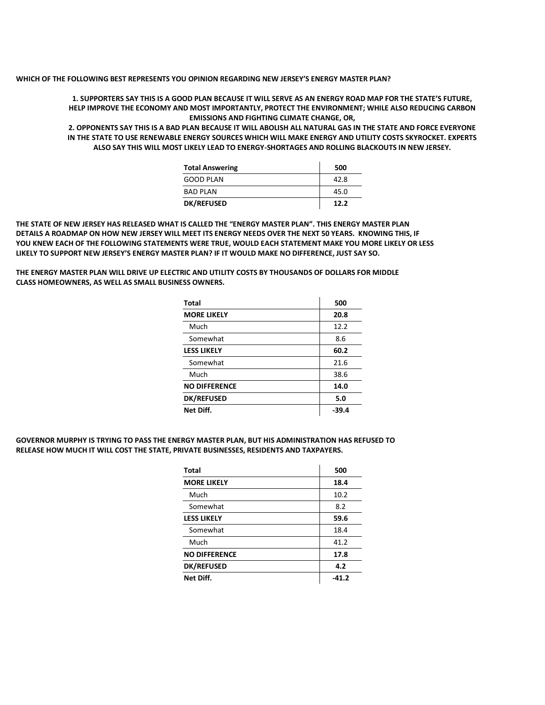**WHICH OF THE FOLLOWING BEST REPRESENTS YOU OPINION REGARDING NEW JERSEY'S ENERGY MASTER PLAN?**

**1. SUPPORTERS SAY THIS IS A GOOD PLAN BECAUSE IT WILL SERVE AS AN ENERGY ROAD MAP FOR THE STATE'S FUTURE, HELP IMPROVE THE ECONOMY AND MOST IMPORTANTLY, PROTECT THE ENVIRONMENT; WHILE ALSO REDUCING CARBON EMISSIONS AND FIGHTING CLIMATE CHANGE, OR,**

**2. OPPONENTS SAY THIS IS A BAD PLAN BECAUSE IT WILL ABOLISH ALL NATURAL GAS IN THE STATE AND FORCE EVERYONE IN THE STATE TO USE RENEWABLE ENERGY SOURCES WHICH WILL MAKE ENERGY AND UTILITY COSTS SKYROCKET. EXPERTS ALSO SAY THIS WILL MOST LIKELY LEAD TO ENERGY-SHORTAGES AND ROLLING BLACKOUTS IN NEW JERSEY.**

| <b>Total Answering</b> | 500  |
|------------------------|------|
| <b>GOOD PLAN</b>       | 42.8 |
| <b>BAD PLAN</b>        | 45.0 |
| <b>DK/REFUSED</b>      | 12.2 |

**THE STATE OF NEW JERSEY HAS RELEASED WHAT IS CALLED THE "ENERGY MASTER PLAN". THIS ENERGY MASTER PLAN DETAILS A ROADMAP ON HOW NEW JERSEY WILL MEET ITS ENERGY NEEDS OVER THE NEXT 50 YEARS. KNOWING THIS, IF YOU KNEW EACH OF THE FOLLOWING STATEMENTS WERE TRUE, WOULD EACH STATEMENT MAKE YOU MORE LIKELY OR LESS LIKELY TO SUPPORT NEW JERSEY'S ENERGY MASTER PLAN? IF IT WOULD MAKE NO DIFFERENCE, JUST SAY SO.** 

**THE ENERGY MASTER PLAN WILL DRIVE UP ELECTRIC AND UTILITY COSTS BY THOUSANDS OF DOLLARS FOR MIDDLE CLASS HOMEOWNERS, AS WELL AS SMALL BUSINESS OWNERS.** 

| <b>Total</b>         | 500   |
|----------------------|-------|
| <b>MORE LIKELY</b>   | 20.8  |
| Much                 | 12.2  |
| Somewhat             | 8.6   |
| <b>LESS LIKELY</b>   | 60.2  |
| Somewhat             | 21.6  |
| Much                 | 38.6  |
| <b>NO DIFFERENCE</b> | 14.0  |
| <b>DK/REFUSED</b>    | 5.0   |
| Net Diff.            | -39.4 |

**GOVERNOR MURPHY IS TRYING TO PASS THE ENERGY MASTER PLAN, BUT HIS ADMINISTRATION HAS REFUSED TO RELEASE HOW MUCH IT WILL COST THE STATE, PRIVATE BUSINESSES, RESIDENTS AND TAXPAYERS.** 

| Total                | 500   |
|----------------------|-------|
| <b>MORE LIKELY</b>   | 18.4  |
| Much                 | 10.2  |
| Somewhat             | 8.2   |
| <b>LESS LIKELY</b>   | 59.6  |
| Somewhat             | 18.4  |
| Much                 | 41.2  |
| <b>NO DIFFERENCE</b> | 17.8  |
| <b>DK/REFUSED</b>    | 4.2   |
| Net Diff.            | -41.2 |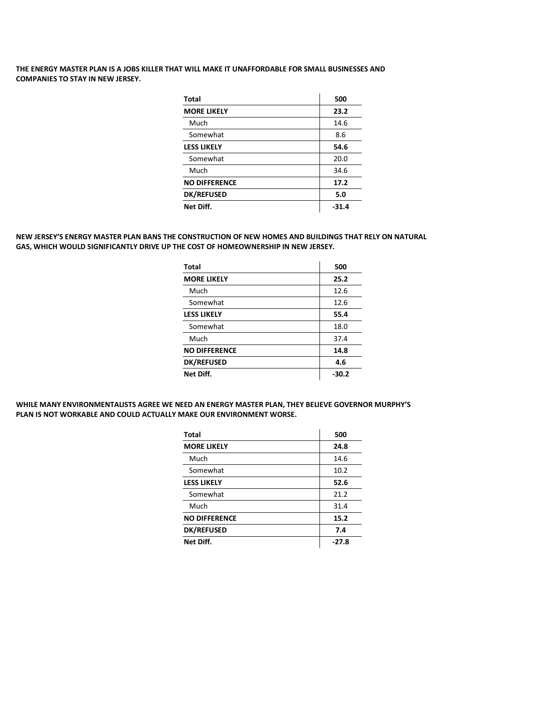# **THE ENERGY MASTER PLAN IS A JOBS KILLER THAT WILL MAKE IT UNAFFORDABLE FOR SMALL BUSINESSES AND COMPANIES TO STAY IN NEW JERSEY.**

| <b>Total</b>         | 500     |
|----------------------|---------|
| <b>MORE LIKELY</b>   | 23.2    |
| Much                 | 14.6    |
| Somewhat             | 8.6     |
| <b>LESS LIKELY</b>   | 54.6    |
| Somewhat             | 20.0    |
| Much                 | 34.6    |
| <b>NO DIFFERENCE</b> | 17.2    |
| <b>DK/REFUSED</b>    | 5.0     |
| Net Diff.            | $-31.4$ |

#### **NEW JERSEY'S ENERGY MASTER PLAN BANS THE CONSTRUCTION OF NEW HOMES AND BUILDINGS THAT RELY ON NATURAL GAS, WHICH WOULD SIGNIFICANTLY DRIVE UP THE COST OF HOMEOWNERSHIP IN NEW JERSEY.**

| <b>Total</b>         | 500     |
|----------------------|---------|
| <b>MORE LIKELY</b>   | 25.2    |
| Much                 | 12.6    |
| Somewhat             | 12.6    |
| <b>LESS LIKELY</b>   | 55.4    |
| Somewhat             | 18.0    |
| Much                 | 37.4    |
| <b>NO DIFFERENCE</b> | 14.8    |
| <b>DK/REFUSED</b>    | 4.6     |
| Net Diff.            | $-30.2$ |

#### **WHILE MANY ENVIRONMENTALISTS AGREE WE NEED AN ENERGY MASTER PLAN, THEY BELIEVE GOVERNOR MURPHY'S PLAN IS NOT WORKABLE AND COULD ACTUALLY MAKE OUR ENVIRONMENT WORSE.**

| <b>Total</b>         | 500     |
|----------------------|---------|
| <b>MORE LIKELY</b>   | 24.8    |
| Much                 | 14.6    |
| Somewhat             | 10.2    |
| <b>LESS LIKELY</b>   | 52.6    |
| Somewhat             | 21.2    |
| Much                 | 31.4    |
| <b>NO DIFFERENCE</b> | 15.2    |
| <b>DK/REFUSED</b>    | 7.4     |
| Net Diff.            | $-27.8$ |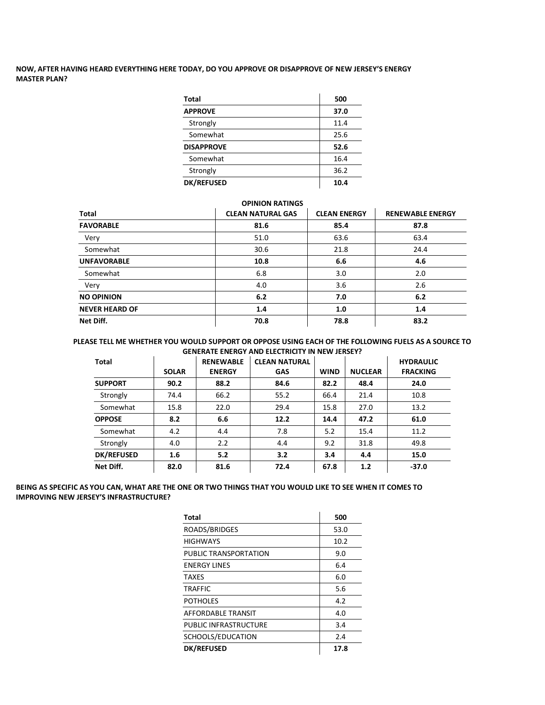# **NOW, AFTER HAVING HEARD EVERYTHING HERE TODAY, DO YOU APPROVE OR DISAPPROVE OF NEW JERSEY'S ENERGY MASTER PLAN?**

| <b>Total</b>      | 500  |
|-------------------|------|
| <b>APPROVE</b>    | 37.0 |
| Strongly          | 11.4 |
| Somewhat          | 25.6 |
| <b>DISAPPROVE</b> | 52.6 |
| Somewhat          | 16.4 |
| Strongly          | 36.2 |
| <b>DK/REFUSED</b> | 10.4 |

| <b>OPINION RATINGS</b> |                          |                     |                         |
|------------------------|--------------------------|---------------------|-------------------------|
| <b>Total</b>           | <b>CLEAN NATURAL GAS</b> | <b>CLEAN ENERGY</b> | <b>RENEWABLE ENERGY</b> |
| <b>FAVORABLE</b>       | 81.6                     | 85.4                | 87.8                    |
| Very                   | 51.0                     | 63.6                | 63.4                    |
| Somewhat               | 30.6                     | 21.8                | 24.4                    |
| <b>UNFAVORABLE</b>     | 10.8                     | 6.6                 | 4.6                     |
| Somewhat               | 6.8                      | 3.0                 | 2.0                     |
| Very                   | 4.0                      | 3.6                 | 2.6                     |
| <b>NO OPINION</b>      | 6.2                      | 7.0                 | 6.2                     |
| <b>NEVER HEARD OF</b>  | 1.4                      | 1.0                 | 1.4                     |
| Net Diff.              | 70.8                     | 78.8                | 83.2                    |

#### **PLEASE TELL ME WHETHER YOU WOULD SUPPORT OR OPPOSE USING EACH OF THE FOLLOWING FUELS AS A SOURCE TO GENERATE ENERGY AND ELECTRICITY IN NEW JERSEY?**

| Total             | <b>SOLAR</b> | <b>RENEWABLE</b><br><b>ENERGY</b> | <b>CLEAN NATURAL</b><br><b>GAS</b> | <b>WIND</b> | <b>NUCLEAR</b> | <b>HYDRAULIC</b><br><b>FRACKING</b> |
|-------------------|--------------|-----------------------------------|------------------------------------|-------------|----------------|-------------------------------------|
| <b>SUPPORT</b>    | 90.2         | 88.2                              | 84.6                               | 82.2        | 48.4           | 24.0                                |
| Strongly          | 74.4         | 66.2                              | 55.2                               | 66.4        | 21.4           | 10.8                                |
| Somewhat          | 15.8         | 22.0                              | 29.4                               | 15.8        | 27.0           | 13.2                                |
| <b>OPPOSE</b>     | 8.2          | 6.6                               | 12.2                               | 14.4        | 47.2           | 61.0                                |
| Somewhat          | 4.2          | 4.4                               | 7.8                                | 5.2         | 15.4           | 11.2                                |
| Strongly          | 4.0          | 2.2                               | 4.4                                | 9.2         | 31.8           | 49.8                                |
| <b>DK/REFUSED</b> | 1.6          | 5.2                               | 3.2                                | 3.4         | 4.4            | 15.0                                |
| Net Diff.         | 82.0         | 81.6                              | 72.4                               | 67.8        | 1.2            | $-37.0$                             |

# **BEING AS SPECIFIC AS YOU CAN, WHAT ARE THE ONE OR TWO THINGS THAT YOU WOULD LIKE TO SEE WHEN IT COMES TO IMPROVING NEW JERSEY'S INFRASTRUCTURE?**

| Total                 | 500  |
|-----------------------|------|
| ROADS/BRIDGES         | 53.0 |
| <b>HIGHWAYS</b>       | 10.2 |
| PUBLIC TRANSPORTATION | 9.0  |
| <b>ENERGY LINES</b>   | 6.4  |
| <b>TAXES</b>          | 6.0  |
| <b>TRAFFIC</b>        | 5.6  |
| <b>POTHOLES</b>       | 4.2  |
| AFFORDABLE TRANSIT    | 4.0  |
| PUBLIC INFRASTRUCTURE | 3.4  |
| SCHOOLS/EDUCATION     | 2.4  |
| <b>DK/REFUSED</b>     | 17.8 |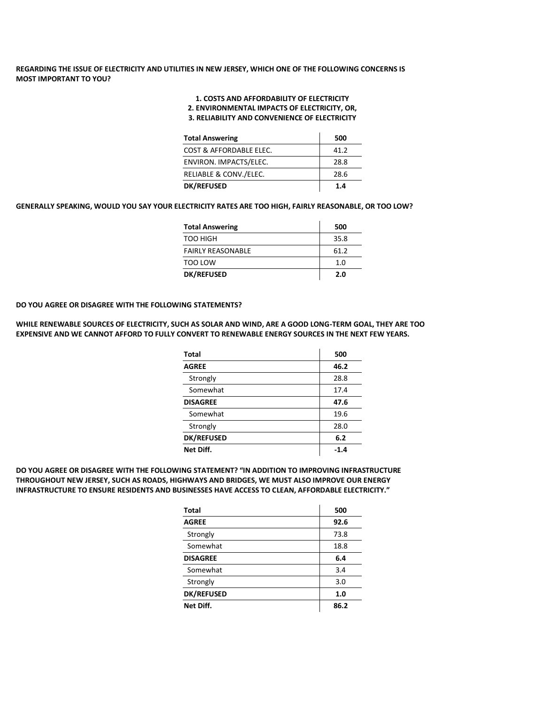# **REGARDING THE ISSUE OF ELECTRICITY AND UTILITIES IN NEW JERSEY, WHICH ONE OF THE FOLLOWING CONCERNS IS MOST IMPORTANT TO YOU?**

# **1. COSTS AND AFFORDABILITY OF ELECTRICITY**

**2. ENVIRONMENTAL IMPACTS OF ELECTRICITY, OR,**

#### **3. RELIABILITY AND CONVENIENCE OF ELECTRICITY**

| <b>Total Answering</b>  | 500  |
|-------------------------|------|
| COST & AFFORDABLE ELEC. | 41.2 |
| ENVIRON. IMPACTS/ELEC.  | 28.8 |
| RELIABLE & CONV./ELEC.  | 28.6 |
| <b>DK/REFUSED</b>       | 1.4  |

# **GENERALLY SPEAKING, WOULD YOU SAY YOUR ELECTRICITY RATES ARE TOO HIGH, FAIRLY REASONABLE, OR TOO LOW?**

| <b>Total Answering</b>   | 500  |
|--------------------------|------|
| TOO HIGH                 | 35.8 |
| <b>FAIRLY REASONABLE</b> | 61.2 |
| TOO LOW                  | 1.0  |
| <b>DK/REFUSED</b>        | 2.0  |

#### **DO YOU AGREE OR DISAGREE WITH THE FOLLOWING STATEMENTS?**

#### **WHILE RENEWABLE SOURCES OF ELECTRICITY, SUCH AS SOLAR AND WIND, ARE A GOOD LONG-TERM GOAL, THEY ARE TOO EXPENSIVE AND WE CANNOT AFFORD TO FULLY CONVERT TO RENEWABLE ENERGY SOURCES IN THE NEXT FEW YEARS.**

| <b>Total</b>      | 500  |
|-------------------|------|
| <b>AGREE</b>      | 46.2 |
| Strongly          | 28.8 |
| Somewhat          | 17.4 |
| <b>DISAGREE</b>   | 47.6 |
| Somewhat          | 19.6 |
| Strongly          | 28.0 |
| <b>DK/REFUSED</b> | 6.2  |
| Net Diff.         | -1.4 |

#### **DO YOU AGREE OR DISAGREE WITH THE FOLLOWING STATEMENT? "IN ADDITION TO IMPROVING INFRASTRUCTURE THROUGHOUT NEW JERSEY, SUCH AS ROADS, HIGHWAYS AND BRIDGES, WE MUST ALSO IMPROVE OUR ENERGY INFRASTRUCTURE TO ENSURE RESIDENTS AND BUSINESSES HAVE ACCESS TO CLEAN, AFFORDABLE ELECTRICITY."**

| Total             | 500  |
|-------------------|------|
| <b>AGREE</b>      | 92.6 |
| Strongly          | 73.8 |
| Somewhat          | 18.8 |
| <b>DISAGREE</b>   | 6.4  |
| Somewhat          | 3.4  |
| Strongly          | 3.0  |
| <b>DK/REFUSED</b> | 1.0  |
| Net Diff.         | 86.2 |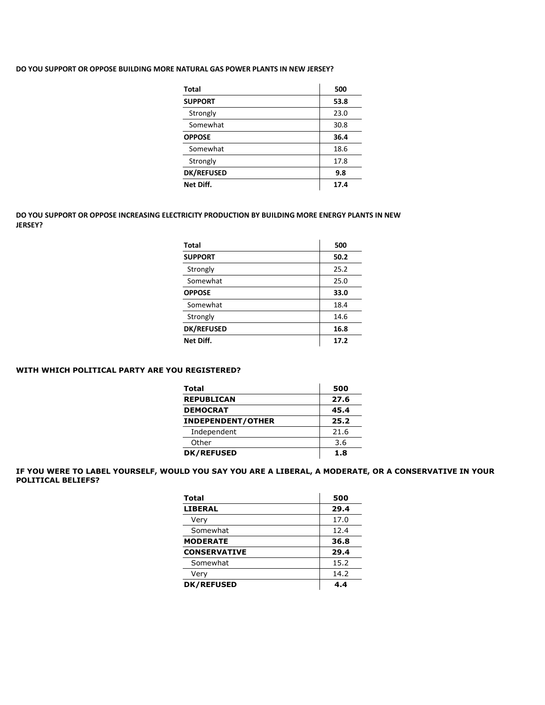# **DO YOU SUPPORT OR OPPOSE BUILDING MORE NATURAL GAS POWER PLANTS IN NEW JERSEY?**

| Total             | 500  |
|-------------------|------|
| <b>SUPPORT</b>    | 53.8 |
| Strongly          | 23.0 |
| Somewhat          | 30.8 |
| <b>OPPOSE</b>     | 36.4 |
| Somewhat          | 18.6 |
| Strongly          | 17.8 |
| <b>DK/REFUSED</b> | 9.8  |
| Net Diff.         | 17.4 |

# **DO YOU SUPPORT OR OPPOSE INCREASING ELECTRICITY PRODUCTION BY BUILDING MORE ENERGY PLANTS IN NEW JERSEY?**

| <b>Total</b>      | 500  |
|-------------------|------|
| <b>SUPPORT</b>    | 50.2 |
| Strongly          | 25.2 |
| Somewhat          | 25.0 |
| <b>OPPOSE</b>     | 33.0 |
| Somewhat          | 18.4 |
| Strongly          | 14.6 |
| <b>DK/REFUSED</b> | 16.8 |
| Net Diff.         | 17.2 |

# **WITH WHICH POLITICAL PARTY ARE YOU REGISTERED?**

| Total                    | 500  |
|--------------------------|------|
| <b>REPUBLICAN</b>        | 27.6 |
| <b>DEMOCRAT</b>          | 45.4 |
| <b>INDEPENDENT/OTHER</b> | 25.2 |
| Independent              | 21.6 |
| Other                    | 3.6  |
| <b>DK/REFUSED</b>        | 1.8  |

# **IF YOU WERE TO LABEL YOURSELF, WOULD YOU SAY YOU ARE A LIBERAL, A MODERATE, OR A CONSERVATIVE IN YOUR POLITICAL BELIEFS?**

| <b>Total</b>        | 500  |
|---------------------|------|
| <b>LIBERAL</b>      | 29.4 |
| Very                | 17.0 |
| Somewhat            | 12.4 |
| <b>MODERATE</b>     | 36.8 |
| <b>CONSERVATIVE</b> | 29.4 |
| Somewhat            | 15.2 |
| Very                | 14.2 |
| <b>DK/REFUSED</b>   | 44   |